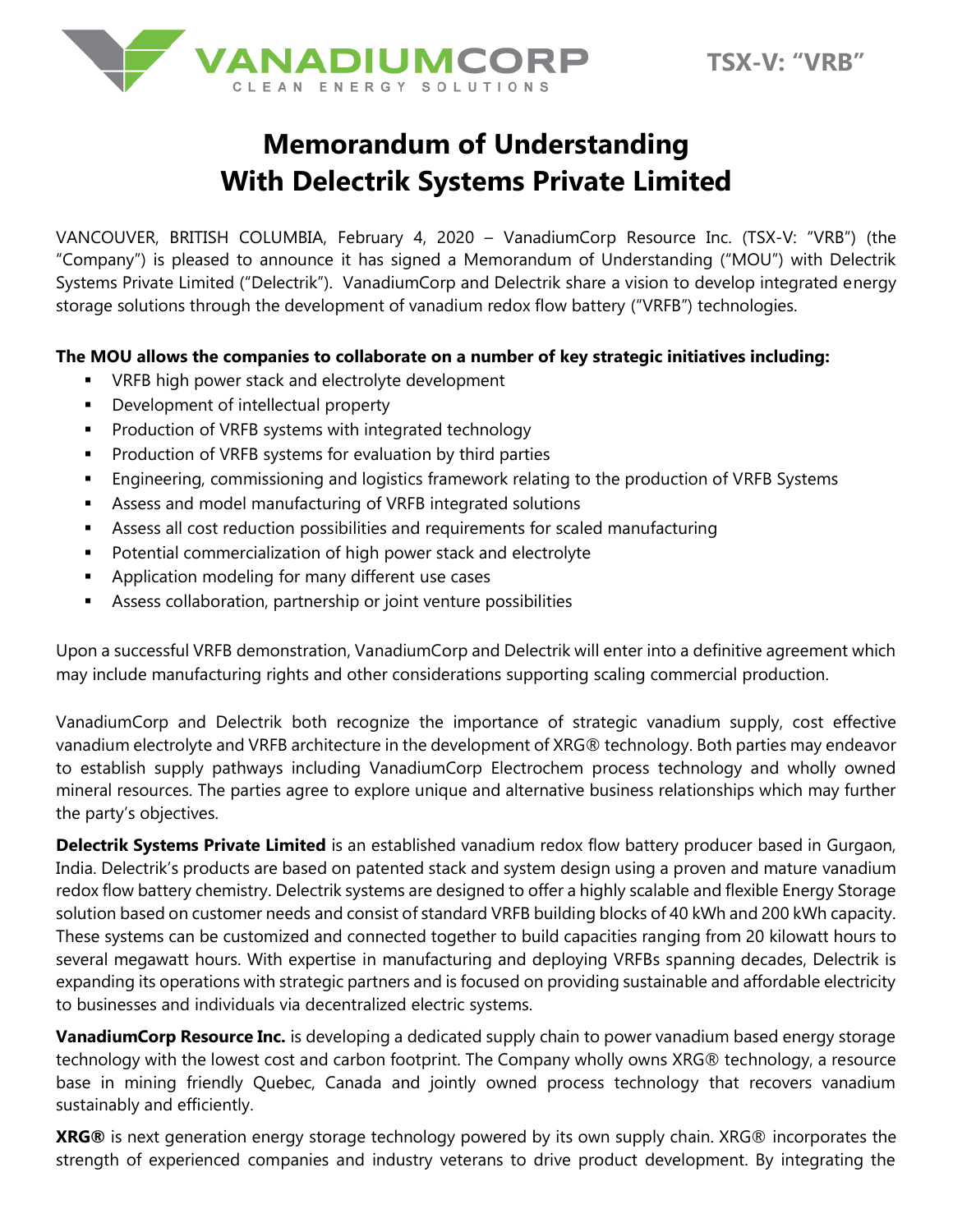



## **Memorandum of Understanding With Delectrik Systems Private Limited**

VANCOUVER, BRITISH COLUMBIA, February 4, 2020 – VanadiumCorp Resource Inc. (TSX-V: "VRB") (the "Company") is pleased to announce it has signed a Memorandum of Understanding ("MOU") with Delectrik Systems Private Limited ("Delectrik"). VanadiumCorp and Delectrik share a vision to develop integrated energy storage solutions through the development of vanadium redox flow battery ("VRFB") technologies.

## **The MOU allows the companies to collaborate on a number of key strategic initiatives including:**

- VRFB high power stack and electrolyte development
- Development of intellectual property
- Production of VRFB systems with integrated technology
- Production of VRFB systems for evaluation by third parties
- **Engineering, commissioning and logistics framework relating to the production of VRFB Systems**
- Assess and model manufacturing of VRFB integrated solutions
- **EXEL Assess all cost reduction possibilities and requirements for scaled manufacturing**
- Potential commercialization of high power stack and electrolyte
- Application modeling for many different use cases
- **EXP** Assess collaboration, partnership or joint venture possibilities

Upon a successful VRFB demonstration, VanadiumCorp and Delectrik will enter into a definitive agreement which may include manufacturing rights and other considerations supporting scaling commercial production.

VanadiumCorp and Delectrik both recognize the importance of strategic vanadium supply, cost effective vanadium electrolyte and VRFB architecture in the development of XRG® technology. Both parties may endeavor to establish supply pathways including VanadiumCorp Electrochem process technology and wholly owned mineral resources. The parties agree to explore unique and alternative business relationships which may further the party's objectives.

**Delectrik Systems Private Limited** is an established vanadium redox flow battery producer based in Gurgaon, India. Delectrik's products are based on patented stack and system design using a proven and mature vanadium redox flow battery chemistry. Delectrik systems are designed to offer a highly scalable and flexible Energy Storage solution based on customer needs and consist of standard VRFB building blocks of 40 kWh and 200 kWh capacity. These systems can be customized and connected together to build capacities ranging from 20 kilowatt hours to several megawatt hours. With expertise in manufacturing and deploying VRFBs spanning decades, Delectrik is expanding its operations with strategic partners and is focused on providing sustainable and affordable electricity to businesses and individuals via decentralized electric systems.

**VanadiumCorp Resource Inc.** is developing a dedicated supply chain to power vanadium based energy storage technology with the lowest cost and carbon footprint. The Company wholly owns XRG® technology, a resource base in mining friendly Quebec, Canada and jointly owned process technology that recovers vanadium sustainably and efficiently.

**XRG®** is next generation energy storage technology powered by its own supply chain. XRG® incorporates the strength of experienced companies and industry veterans to drive product development. By integrating the